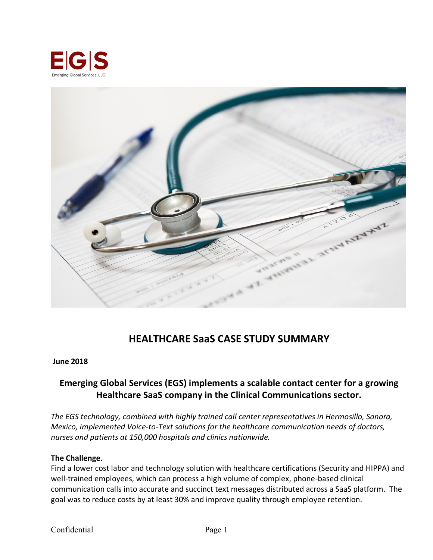



# **HEALTHCARE SaaS CASE STUDY SUMMARY**

#### **June 2018**

## **Emerging Global Services (EGS) implements a scalable contact center for a growing Healthcare SaaS company in the Clinical Communications sector.**

*The EGS technology, combined with highly trained call center representatives in Hermosillo, Sonora, Mexico, implemented Voice-to-Text solutions for the healthcare communication needs of doctors, nurses and patients at 150,000 hospitals and clinics nationwide.*

#### **The Challenge**.

Find a lower cost labor and technology solution with healthcare certifications (Security and HIPPA) and well-trained employees, which can process a high volume of complex, phone-based clinical communication calls into accurate and succinct text messages distributed across a SaaS platform. The goal was to reduce costs by at least 30% and improve quality through employee retention.